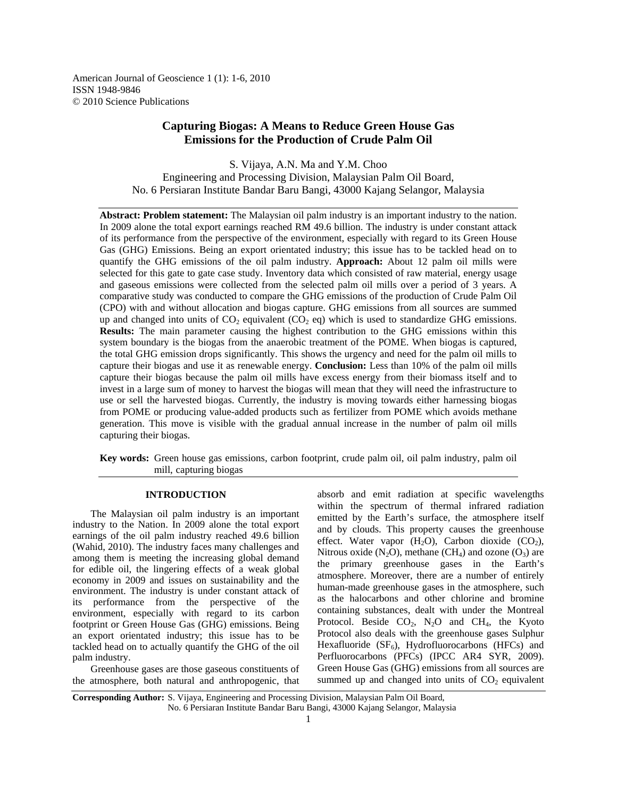American Journal of Geoscience 1 (1): 1-6, 2010 ISSN 1948-9846 © 2010 Science Publications

# **Capturing Biogas: A Means to Reduce Green House Gas Emissions for the Production of Crude Palm Oil**

S. Vijaya, A.N. Ma and Y.M. Choo Engineering and Processing Division, Malaysian Palm Oil Board, No. 6 Persiaran Institute Bandar Baru Bangi, 43000 Kajang Selangor, Malaysia

**Abstract: Problem statement:** The Malaysian oil palm industry is an important industry to the nation. In 2009 alone the total export earnings reached RM 49.6 billion. The industry is under constant attack of its performance from the perspective of the environment, especially with regard to its Green House Gas (GHG) Emissions. Being an export orientated industry; this issue has to be tackled head on to quantify the GHG emissions of the oil palm industry. **Approach:** About 12 palm oil mills were selected for this gate to gate case study. Inventory data which consisted of raw material, energy usage and gaseous emissions were collected from the selected palm oil mills over a period of 3 years. A comparative study was conducted to compare the GHG emissions of the production of Crude Palm Oil (CPO) with and without allocation and biogas capture. GHG emissions from all sources are summed up and changed into units of  $CO<sub>2</sub>$  equivalent  $(CO<sub>2</sub>$  eq) which is used to standardize GHG emissions. **Results:** The main parameter causing the highest contribution to the GHG emissions within this system boundary is the biogas from the anaerobic treatment of the POME. When biogas is captured, the total GHG emission drops significantly. This shows the urgency and need for the palm oil mills to capture their biogas and use it as renewable energy. **Conclusion:** Less than 10% of the palm oil mills capture their biogas because the palm oil mills have excess energy from their biomass itself and to invest in a large sum of money to harvest the biogas will mean that they will need the infrastructure to use or sell the harvested biogas. Currently, the industry is moving towards either harnessing biogas from POME or producing value-added products such as fertilizer from POME which avoids methane generation. This move is visible with the gradual annual increase in the number of palm oil mills capturing their biogas.

**Key words:** Green house gas emissions, carbon footprint, crude palm oil, oil palm industry, palm oil mill, capturing biogas

#### **INTRODUCTION**

 The Malaysian oil palm industry is an important industry to the Nation. In 2009 alone the total export earnings of the oil palm industry reached 49.6 billion (Wahid, 2010). The industry faces many challenges and among them is meeting the increasing global demand for edible oil, the lingering effects of a weak global economy in 2009 and issues on sustainability and the environment. The industry is under constant attack of its performance from the perspective of the environment, especially with regard to its carbon footprint or Green House Gas (GHG) emissions. Being an export orientated industry; this issue has to be tackled head on to actually quantify the GHG of the oil palm industry.

 Greenhouse gases are those gaseous constituents of the atmosphere, both natural and anthropogenic, that absorb and emit radiation at specific wavelengths within the spectrum of thermal infrared radiation emitted by the Earth's surface, the atmosphere itself and by clouds. This property causes the greenhouse effect. Water vapor  $(H_2O)$ , Carbon dioxide  $(CO_2)$ , Nitrous oxide  $(N_2O)$ , methane  $(CH_4)$  and ozone  $(O_3)$  are the primary greenhouse gases in the Earth's atmosphere. Moreover, there are a number of entirely human-made greenhouse gases in the atmosphere, such as the halocarbons and other chlorine and bromine containing substances, dealt with under the Montreal Protocol. Beside  $CO<sub>2</sub>$ , N<sub>2</sub>O and CH<sub>4</sub>, the Kyoto Protocol also deals with the greenhouse gases Sulphur Hexafluoride  $(SF_6)$ , Hydrofluorocarbons (HFCs) and Perfluorocarbons (PFCs) (IPCC AR4 SYR, 2009). Green House Gas (GHG) emissions from all sources are summed up and changed into units of  $CO<sub>2</sub>$  equivalent

**Corresponding Author:** S. Vijaya, Engineering and Processing Division, Malaysian Palm Oil Board, No. 6 Persiaran Institute Bandar Baru Bangi, 43000 Kajang Selangor, Malaysia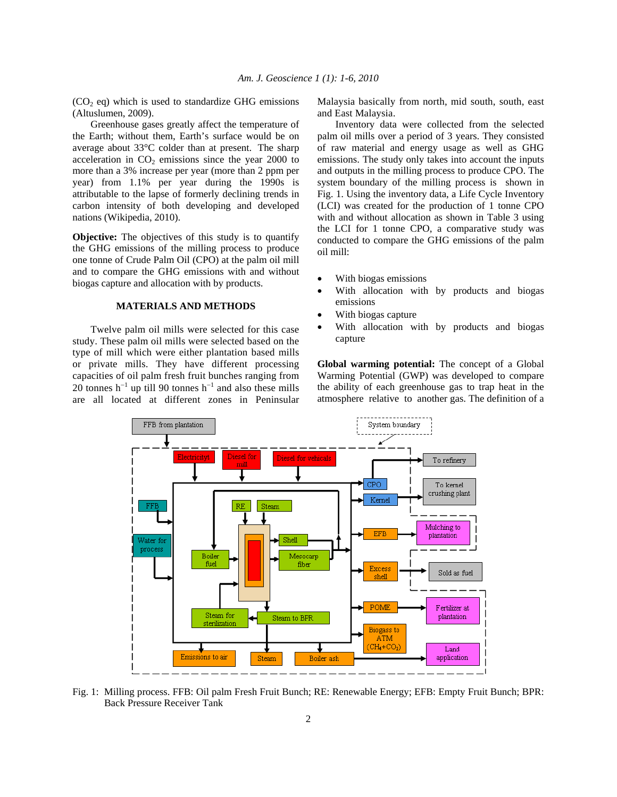$(CO<sub>2</sub> eq)$  which is used to standardize GHG emissions (Altuslumen, 2009).

 Greenhouse gases greatly affect the temperature of the Earth; without them, Earth's surface would be on average about 33°C colder than at present. The sharp acceleration in  $CO<sub>2</sub>$  emissions since the year 2000 to more than a 3% increase per year (more than 2 ppm per year) from 1.1% per year during the 1990s is attributable to the lapse of formerly declining trends in carbon intensity of both developing and developed nations (Wikipedia, 2010).

**Objective:** The objectives of this study is to quantify the GHG emissions of the milling process to produce one tonne of Crude Palm Oil (CPO) at the palm oil mill and to compare the GHG emissions with and without biogas capture and allocation with by products.

## **MATERIALS AND METHODS**

 Twelve palm oil mills were selected for this case study. These palm oil mills were selected based on the type of mill which were either plantation based mills or private mills. They have different processing capacities of oil palm fresh fruit bunches ranging from 20 tonnes  $h^{-1}$  up till 90 tonnes  $h^{-1}$  and also these mills are all located at different zones in Peninsular

Malaysia basically from north, mid south, south, east and East Malaysia.

 Inventory data were collected from the selected palm oil mills over a period of 3 years. They consisted of raw material and energy usage as well as GHG emissions. The study only takes into account the inputs and outputs in the milling process to produce CPO. The system boundary of the milling process is shown in Fig. 1. Using the inventory data, a Life Cycle Inventory (LCI) was created for the production of 1 tonne CPO with and without allocation as shown in Table 3 using the LCI for 1 tonne CPO, a comparative study was conducted to compare the GHG emissions of the palm oil mill:

- With biogas emissions
- With allocation with by products and biogas emissions
- With biogas capture
- With allocation with by products and biogas capture

**Global warming potential:** The concept of a Global Warming Potential (GWP) was developed to compare the ability of each greenhouse gas to trap heat in the atmosphere relative to another gas. The definition of a



Fig. 1: Milling process. FFB: Oil palm Fresh Fruit Bunch; RE: Renewable Energy; EFB: Empty Fruit Bunch; BPR: Back Pressure Receiver Tank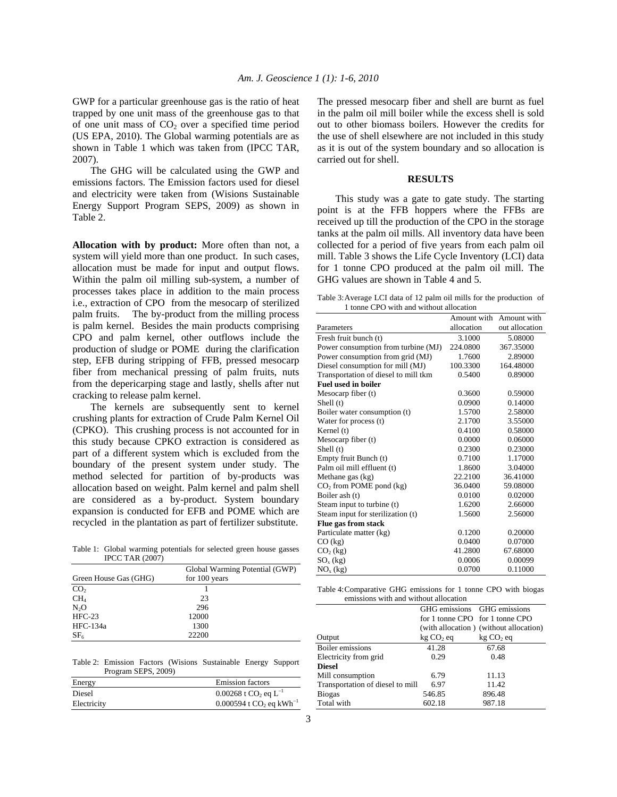GWP for a particular greenhouse gas is the ratio of heat trapped by one unit mass of the greenhouse gas to that of one unit mass of  $CO<sub>2</sub>$  over a specified time period (US EPA, 2010). The Global warming potentials are as shown in Table 1 which was taken from (IPCC TAR, 2007).

 The GHG will be calculated using the GWP and emissions factors. The Emission factors used for diesel and electricity were taken from (Wisions Sustainable Energy Support Program SEPS, 2009) as shown in Table 2.

**Allocation with by product:** More often than not, a system will yield more than one product. In such cases, allocation must be made for input and output flows. Within the palm oil milling sub-system, a number of processes takes place in addition to the main process i.e., extraction of CPO from the mesocarp of sterilized palm fruits. The by-product from the milling process is palm kernel. Besides the main products comprising CPO and palm kernel, other outflows include the production of sludge or POME during the clarification step, EFB during stripping of FFB, pressed mesocarp fiber from mechanical pressing of palm fruits, nuts from the depericarping stage and lastly, shells after nut cracking to release palm kernel.

 The kernels are subsequently sent to kernel crushing plants for extraction of Crude Palm Kernel Oil (CPKO). This crushing process is not accounted for in this study because CPKO extraction is considered as part of a different system which is excluded from the boundary of the present system under study. The method selected for partition of by-products was allocation based on weight. Palm kernel and palm shell are considered as a by-product. System boundary expansion is conducted for EFB and POME which are recycled in the plantation as part of fertilizer substitute.

Table 1: Global warming potentials for selected green house gasses IPCC TAR (2007)

|                       | Global Warming Potential (GWP) |  |
|-----------------------|--------------------------------|--|
| Green House Gas (GHG) | for 100 years                  |  |
| CO <sub>2</sub>       |                                |  |
| CH <sub>4</sub>       | 23                             |  |
| N <sub>2</sub> O      | 296                            |  |
| $HFC-23$              | 12000                          |  |
| $HEC-134a$            | 1300                           |  |
| SF <sub>6</sub>       | 22200                          |  |

Table 2: Emission Factors (Wisions Sustainable Energy Support Program SEPS, 2009)

| Energy      | <b>Emission factors</b>                           |
|-------------|---------------------------------------------------|
| Diesel      | $0.00268$ t CO <sub>2</sub> eq L <sup>-1</sup>    |
| Electricity | $0.000594$ t CO <sub>2</sub> eq kWh <sup>-1</sup> |

The pressed mesocarp fiber and shell are burnt as fuel in the palm oil mill boiler while the excess shell is sold out to other biomass boilers. However the credits for the use of shell elsewhere are not included in this study as it is out of the system boundary and so allocation is carried out for shell.

#### **RESULTS**

 This study was a gate to gate study. The starting point is at the FFB hoppers where the FFBs are received up till the production of the CPO in the storage tanks at the palm oil mills. All inventory data have been collected for a period of five years from each palm oil mill. Table 3 shows the Life Cycle Inventory (LCI) data for 1 tonne CPO produced at the palm oil mill. The GHG values are shown in Table 4 and 5.

Table 3: Average LCI data of 12 palm oil mills for the production of 1 tonne CPO with and without allocation

|                                      |            | Amount with Amount with |
|--------------------------------------|------------|-------------------------|
| Parameters                           | allocation | out allocation          |
|                                      |            |                         |
| Fresh fruit bunch (t)                | 3.1000     | 5.08000                 |
| Power consumption from turbine (MJ)  | 224.0800   | 367.35000               |
| Power consumption from grid (MJ)     | 1.7600     | 2.89000                 |
| Diesel consumption for mill (MJ)     | 100.3300   | 164.48000               |
| Transportation of diesel to mill tkm | 0.5400     | 0.89000                 |
| <b>Fuel used in boiler</b>           |            |                         |
| Mesocarp fiber (t)                   | 0.3600     | 0.59000                 |
| Shell (t)                            | 0.0900     | 0.14000                 |
| Boiler water consumption (t)         | 1.5700     | 2.58000                 |
| Water for process (t)                | 2.1700     | 3.55000                 |
| Kernel (t)                           | 0.4100     | 0.58000                 |
| Mesocarp fiber (t)                   | 0.0000     | 0.06000                 |
| Shell (t)                            | 0.2300     | 0.23000                 |
| Empty fruit Bunch (t)                | 0.7100     | 1.17000                 |
| Palm oil mill effluent (t)           | 1.8600     | 3.04000                 |
| Methane gas (kg)                     | 22.2100    | 36.41000                |
| $CO2$ from POME pond (kg)            | 36.0400    | 59.08000                |
| Boiler ash (t)                       | 0.0100     | 0.02000                 |
| Steam input to turbine (t)           | 1.6200     | 2.66000                 |
| Steam input for sterilization (t)    | 1.5600     | 2.56000                 |
| Flue gas from stack                  |            |                         |
| Particulate matter (kg)              | 0.1200     | 0.20000                 |
| $CO$ (kg)                            | 0.0400     | 0.07000                 |
| $CO2$ (kg)                           | 41.2800    | 67.68000                |
| $SOx$ (kg)                           | 0.0006     | 0.00099                 |
| $NOx$ (kg)                           | 0.0700     | 0.11000                 |

Table 4: Comparative GHG emissions for 1 tonne CPO with biogas emissions with and without allocation

| CHIISSIOUS WILLI AIRE WILHOUL AHOCALIOIL |                                 |                                        |  |  |
|------------------------------------------|---------------------------------|----------------------------------------|--|--|
|                                          | GHG emissions GHG emissions     |                                        |  |  |
|                                          | for 1 tonne CPO for 1 tonne CPO |                                        |  |  |
|                                          |                                 | (with allocation) (without allocation) |  |  |
| Output                                   | $kg CO2$ eq                     | $kg CO2$ eq                            |  |  |
| Boiler emissions                         | 41.28                           | 67.68                                  |  |  |
| Electricity from grid                    | 0.29                            | 0.48                                   |  |  |
| <b>Diesel</b>                            |                                 |                                        |  |  |
| Mill consumption                         | 6.79                            | 11.13                                  |  |  |
| Transportation of diesel to mill         | 6.97                            | 11.42                                  |  |  |
| <b>Biogas</b>                            | 546.85                          | 896.48                                 |  |  |
| Total with                               | 602.18                          | 987.18                                 |  |  |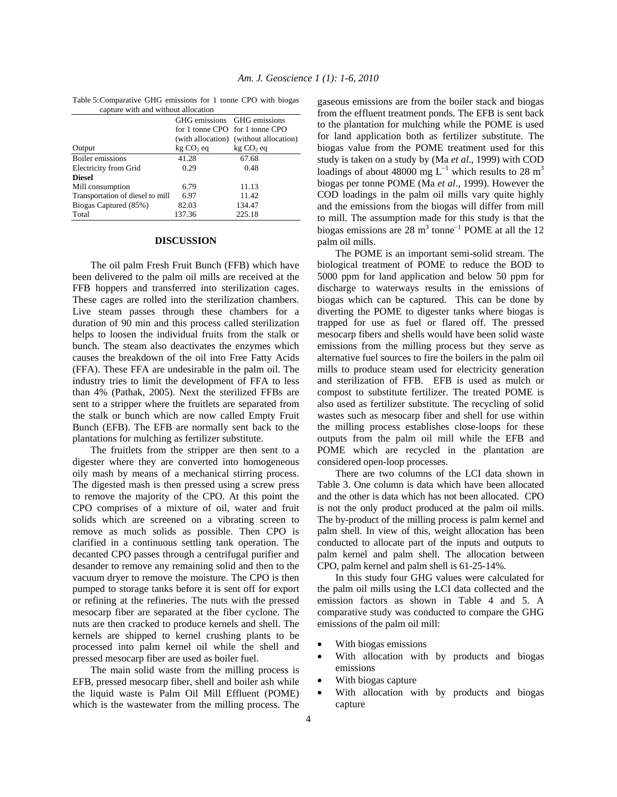| capture with and without anocation |                             |                                        |  |  |
|------------------------------------|-----------------------------|----------------------------------------|--|--|
|                                    | GHG emissions GHG emissions |                                        |  |  |
|                                    |                             | for 1 tonne CPO for 1 tonne CPO        |  |  |
|                                    |                             | (with allocation) (without allocation) |  |  |
| Output                             | $kg CO2$ eq                 | $kg CO2$ eq                            |  |  |
| Boiler emissions                   | 41.28                       | 67.68                                  |  |  |
| Electricity from Grid              | 0.29                        | 0.48                                   |  |  |
| <b>Diesel</b>                      |                             |                                        |  |  |
| Mill consumption                   | 6.79                        | 11.13                                  |  |  |
| Transportation of diesel to mill   | 6.97                        | 11.42                                  |  |  |
| Biogas Captured (85%)              | 82.03                       | 134.47                                 |  |  |
| Total                              | 137.36                      | 225.18                                 |  |  |

Table 5: Comparative GHG emissions for 1 tonne CPO with biogas apture with and without allocation

#### **DISCUSSION**

 The oil palm Fresh Fruit Bunch (FFB) which have been delivered to the palm oil mills are received at the FFB hoppers and transferred into sterilization cages. These cages are rolled into the sterilization chambers. Live steam passes through these chambers for a duration of 90 min and this process called sterilization helps to loosen the individual fruits from the stalk or bunch. The steam also deactivates the enzymes which causes the breakdown of the oil into Free Fatty Acids (FFA). These FFA are undesirable in the palm oil. The industry tries to limit the development of FFA to less than 4% (Pathak, 2005). Next the sterilized FFBs are sent to a stripper where the fruitlets are separated from the stalk or bunch which are now called Empty Fruit Bunch (EFB). The EFB are normally sent back to the plantations for mulching as fertilizer substitute.

 The fruitlets from the stripper are then sent to a digester where they are converted into homogeneous oily mash by means of a mechanical stirring process. The digested mash is then pressed using a screw press to remove the majority of the CPO. At this point the CPO comprises of a mixture of oil, water and fruit solids which are screened on a vibrating screen to remove as much solids as possible. Then CPO is clarified in a continuous settling tank operation. The decanted CPO passes through a centrifugal purifier and desander to remove any remaining solid and then to the vacuum dryer to remove the moisture. The CPO is then pumped to storage tanks before it is sent off for export or refining at the refineries. The nuts with the pressed mesocarp fiber are separated at the fiber cyclone. The nuts are then cracked to produce kernels and shell. The kernels are shipped to kernel crushing plants to be processed into palm kernel oil while the shell and pressed mesocarp fiber are used as boiler fuel.

 The main solid waste from the milling process is EFB, pressed mesocarp fiber, shell and boiler ash while the liquid waste is Palm Oil Mill Effluent (POME) which is the wastewater from the milling process. The gaseous emissions are from the boiler stack and biogas from the effluent treatment ponds. The EFB is sent back to the plantation for mulching while the POME is used for land application both as fertilizer substitute. The biogas value from the POME treatment used for this study is taken on a study by (Ma *et al*., 1999) with COD loadings of about 48000 mg L<sup>-1</sup> which results to 28 m<sup>3</sup> biogas per tonne POME (Ma *et al*., 1999). However the COD loadings in the palm oil mills vary quite highly and the emissions from the biogas will differ from mill to mill. The assumption made for this study is that the biogas emissions are 28 m<sup>3</sup> tonne<sup>-1</sup> POME at all the 12 palm oil mills.

 The POME is an important semi-solid stream. The biological treatment of POME to reduce the BOD to 5000 ppm for land application and below 50 ppm for discharge to waterways results in the emissions of biogas which can be captured. This can be done by diverting the POME to digester tanks where biogas is trapped for use as fuel or flared off. The pressed mesocarp fibers and shells would have been solid waste emissions from the milling process but they serve as alternative fuel sources to fire the boilers in the palm oil mills to produce steam used for electricity generation and sterilization of FFB. EFB is used as mulch or compost to substitute fertilizer. The treated POME is also used as fertilizer substitute. The recycling of solid wastes such as mesocarp fiber and shell for use within the milling process establishes close-loops for these outputs from the palm oil mill while the EFB and POME which are recycled in the plantation are considered open-loop processes.

 There are two columns of the LCI data shown in Table 3. One column is data which have been allocated and the other is data which has not been allocated. CPO is not the only product produced at the palm oil mills. The by-product of the milling process is palm kernel and palm shell. In view of this, weight allocation has been conducted to allocate part of the inputs and outputs to palm kernel and palm shell. The allocation between CPO, palm kernel and palm shell is 61-25-14%.

 In this study four GHG values were calculated for the palm oil mills using the LCI data collected and the emission factors as shown in Table 4 and 5. A comparative study was conducted to compare the GHG emissions of the palm oil mill:

- With biogas emissions
- With allocation with by products and biogas emissions
- With biogas capture
- With allocation with by products and biogas capture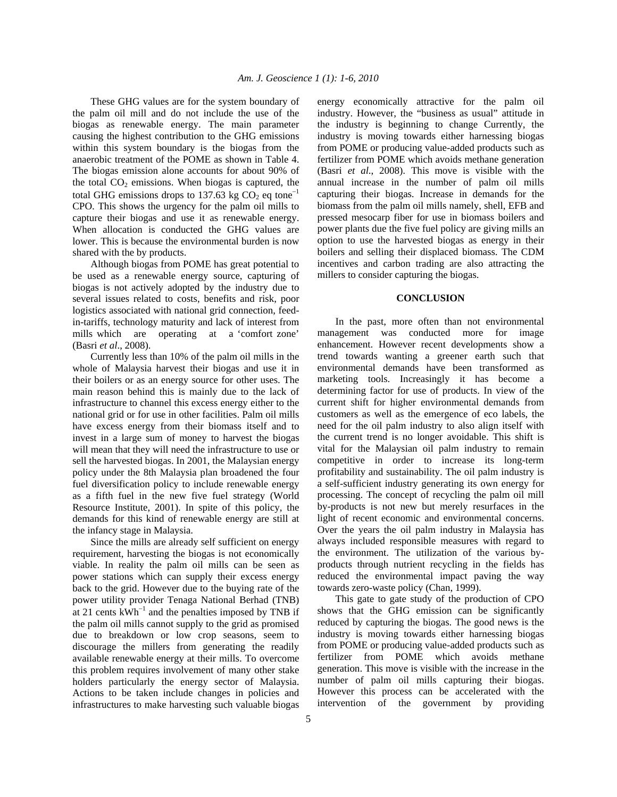These GHG values are for the system boundary of the palm oil mill and do not include the use of the biogas as renewable energy. The main parameter causing the highest contribution to the GHG emissions within this system boundary is the biogas from the anaerobic treatment of the POME as shown in Table 4. The biogas emission alone accounts for about 90% of the total  $CO<sub>2</sub>$  emissions. When biogas is captured, the total GHG emissions drops to 137.63 kg  $CO<sub>2</sub>$  eq tone<sup>-1</sup> CPO. This shows the urgency for the palm oil mills to capture their biogas and use it as renewable energy. When allocation is conducted the GHG values are lower. This is because the environmental burden is now shared with the by products.

 Although biogas from POME has great potential to be used as a renewable energy source, capturing of biogas is not actively adopted by the industry due to several issues related to costs, benefits and risk, poor logistics associated with national grid connection, feedin-tariffs, technology maturity and lack of interest from mills which are operating at a 'comfort zone' (Basri *et al*., 2008).

 Currently less than 10% of the palm oil mills in the whole of Malaysia harvest their biogas and use it in their boilers or as an energy source for other uses. The main reason behind this is mainly due to the lack of infrastructure to channel this excess energy either to the national grid or for use in other facilities. Palm oil mills have excess energy from their biomass itself and to invest in a large sum of money to harvest the biogas will mean that they will need the infrastructure to use or sell the harvested biogas. In 2001, the Malaysian energy policy under the 8th Malaysia plan broadened the four fuel diversification policy to include renewable energy as a fifth fuel in the new five fuel strategy (World Resource Institute, 2001). In spite of this policy, the demands for this kind of renewable energy are still at the infancy stage in Malaysia.

 Since the mills are already self sufficient on energy requirement, harvesting the biogas is not economically viable. In reality the palm oil mills can be seen as power stations which can supply their excess energy back to the grid. However due to the buying rate of the power utility provider Tenaga National Berhad (TNB) at 21 cents  $kWh^{-1}$  and the penalties imposed by TNB if the palm oil mills cannot supply to the grid as promised due to breakdown or low crop seasons, seem to discourage the millers from generating the readily available renewable energy at their mills. To overcome this problem requires involvement of many other stake holders particularly the energy sector of Malaysia. Actions to be taken include changes in policies and infrastructures to make harvesting such valuable biogas

energy economically attractive for the palm oil industry. However, the "business as usual" attitude in the industry is beginning to change Currently, the industry is moving towards either harnessing biogas from POME or producing value-added products such as fertilizer from POME which avoids methane generation (Basri *et al*., 2008). This move is visible with the annual increase in the number of palm oil mills capturing their biogas. Increase in demands for the biomass from the palm oil mills namely, shell, EFB and pressed mesocarp fiber for use in biomass boilers and power plants due the five fuel policy are giving mills an option to use the harvested biogas as energy in their boilers and selling their displaced biomass. The CDM incentives and carbon trading are also attracting the millers to consider capturing the biogas.

## **CONCLUSION**

 In the past, more often than not environmental management was conducted more for image enhancement. However recent developments show a trend towards wanting a greener earth such that environmental demands have been transformed as marketing tools. Increasingly it has become a determining factor for use of products. In view of the current shift for higher environmental demands from customers as well as the emergence of eco labels, the need for the oil palm industry to also align itself with the current trend is no longer avoidable. This shift is vital for the Malaysian oil palm industry to remain competitive in order to increase its long-term profitability and sustainability. The oil palm industry is a self-sufficient industry generating its own energy for processing. The concept of recycling the palm oil mill by-products is not new but merely resurfaces in the light of recent economic and environmental concerns. Over the years the oil palm industry in Malaysia has always included responsible measures with regard to the environment. The utilization of the various byproducts through nutrient recycling in the fields has reduced the environmental impact paving the way towards zero-waste policy (Chan, 1999).

 This gate to gate study of the production of CPO shows that the GHG emission can be significantly reduced by capturing the biogas. The good news is the industry is moving towards either harnessing biogas from POME or producing value-added products such as fertilizer from POME which avoids methane generation. This move is visible with the increase in the number of palm oil mills capturing their biogas. However this process can be accelerated with the intervention of the government by providing